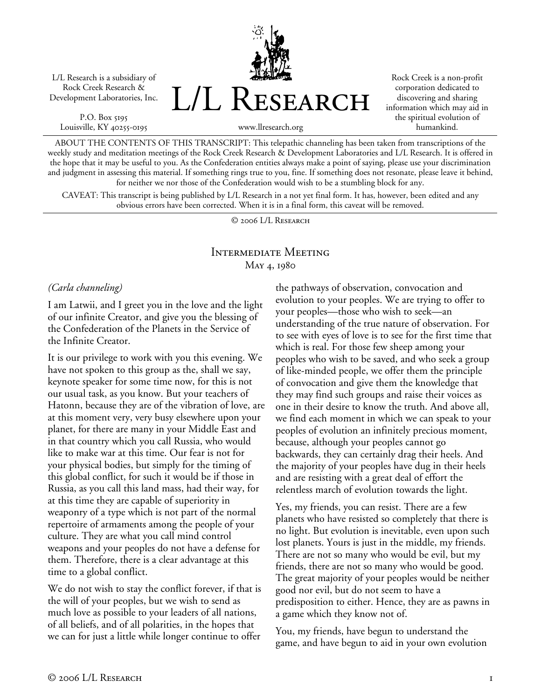L/L Research is a subsidiary of Rock Creek Research & Development Laboratories, Inc.

P.O. Box 5195 Louisville, KY 40255-0195 L/L Research

Rock Creek is a non-profit corporation dedicated to discovering and sharing information which may aid in the spiritual evolution of humankind.

www.llresearch.org

ABOUT THE CONTENTS OF THIS TRANSCRIPT: This telepathic channeling has been taken from transcriptions of the weekly study and meditation meetings of the Rock Creek Research & Development Laboratories and L/L Research. It is offered in the hope that it may be useful to you. As the Confederation entities always make a point of saying, please use your discrimination and judgment in assessing this material. If something rings true to you, fine. If something does not resonate, please leave it behind, for neither we nor those of the Confederation would wish to be a stumbling block for any.

CAVEAT: This transcript is being published by L/L Research in a not yet final form. It has, however, been edited and any obvious errors have been corrected. When it is in a final form, this caveat will be removed.

© 2006 L/L Research

# Intermediate Meeting May 4, 1980

### *(Carla channeling)*

I am Latwii, and I greet you in the love and the light of our infinite Creator, and give you the blessing of the Confederation of the Planets in the Service of the Infinite Creator.

It is our privilege to work with you this evening. We have not spoken to this group as the, shall we say, keynote speaker for some time now, for this is not our usual task, as you know. But your teachers of Hatonn, because they are of the vibration of love, are at this moment very, very busy elsewhere upon your planet, for there are many in your Middle East and in that country which you call Russia, who would like to make war at this time. Our fear is not for your physical bodies, but simply for the timing of this global conflict, for such it would be if those in Russia, as you call this land mass, had their way, for at this time they are capable of superiority in weaponry of a type which is not part of the normal repertoire of armaments among the people of your culture. They are what you call mind control weapons and your peoples do not have a defense for them. Therefore, there is a clear advantage at this time to a global conflict.

We do not wish to stay the conflict forever, if that is the will of your peoples, but we wish to send as much love as possible to your leaders of all nations, of all beliefs, and of all polarities, in the hopes that we can for just a little while longer continue to offer

the pathways of observation, convocation and evolution to your peoples. We are trying to offer to your peoples—those who wish to seek—an understanding of the true nature of observation. For to see with eyes of love is to see for the first time that which is real. For those few sheep among your peoples who wish to be saved, and who seek a group of like-minded people, we offer them the principle of convocation and give them the knowledge that they may find such groups and raise their voices as one in their desire to know the truth. And above all, we find each moment in which we can speak to your peoples of evolution an infinitely precious moment, because, although your peoples cannot go backwards, they can certainly drag their heels. And the majority of your peoples have dug in their heels and are resisting with a great deal of effort the relentless march of evolution towards the light.

Yes, my friends, you can resist. There are a few planets who have resisted so completely that there is no light. But evolution is inevitable, even upon such lost planets. Yours is just in the middle, my friends. There are not so many who would be evil, but my friends, there are not so many who would be good. The great majority of your peoples would be neither good nor evil, but do not seem to have a predisposition to either. Hence, they are as pawns in a game which they know not of.

You, my friends, have begun to understand the game, and have begun to aid in your own evolution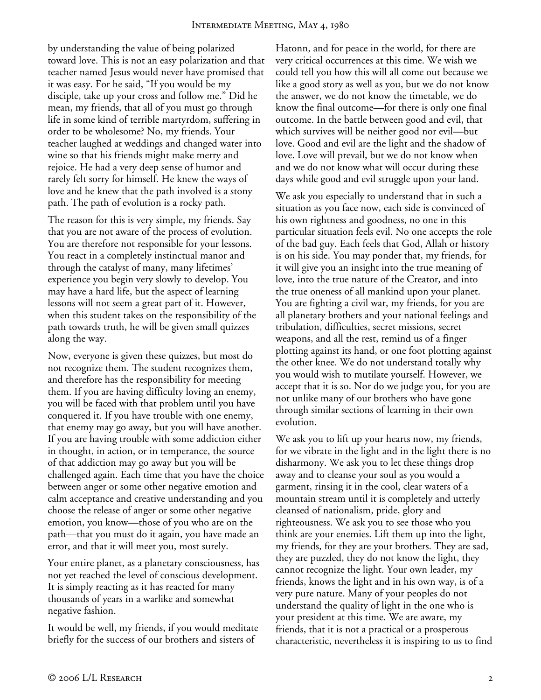by understanding the value of being polarized toward love. This is not an easy polarization and that teacher named Jesus would never have promised that it was easy. For he said, "If you would be my disciple, take up your cross and follow me." Did he mean, my friends, that all of you must go through life in some kind of terrible martyrdom, suffering in order to be wholesome? No, my friends. Your teacher laughed at weddings and changed water into wine so that his friends might make merry and rejoice. He had a very deep sense of humor and rarely felt sorry for himself. He knew the ways of love and he knew that the path involved is a stony path. The path of evolution is a rocky path.

The reason for this is very simple, my friends. Say that you are not aware of the process of evolution. You are therefore not responsible for your lessons. You react in a completely instinctual manor and through the catalyst of many, many lifetimes' experience you begin very slowly to develop. You may have a hard life, but the aspect of learning lessons will not seem a great part of it. However, when this student takes on the responsibility of the path towards truth, he will be given small quizzes along the way.

Now, everyone is given these quizzes, but most do not recognize them. The student recognizes them, and therefore has the responsibility for meeting them. If you are having difficulty loving an enemy, you will be faced with that problem until you have conquered it. If you have trouble with one enemy, that enemy may go away, but you will have another. If you are having trouble with some addiction either in thought, in action, or in temperance, the source of that addiction may go away but you will be challenged again. Each time that you have the choice between anger or some other negative emotion and calm acceptance and creative understanding and you choose the release of anger or some other negative emotion, you know—those of you who are on the path—that you must do it again, you have made an error, and that it will meet you, most surely.

Your entire planet, as a planetary consciousness, has not yet reached the level of conscious development. It is simply reacting as it has reacted for many thousands of years in a warlike and somewhat negative fashion.

It would be well, my friends, if you would meditate briefly for the success of our brothers and sisters of

Hatonn, and for peace in the world, for there are very critical occurrences at this time. We wish we could tell you how this will all come out because we like a good story as well as you, but we do not know the answer, we do not know the timetable, we do know the final outcome—for there is only one final outcome. In the battle between good and evil, that which survives will be neither good nor evil—but love. Good and evil are the light and the shadow of love. Love will prevail, but we do not know when and we do not know what will occur during these days while good and evil struggle upon your land.

We ask you especially to understand that in such a situation as you face now, each side is convinced of his own rightness and goodness, no one in this particular situation feels evil. No one accepts the role of the bad guy. Each feels that God, Allah or history is on his side. You may ponder that, my friends, for it will give you an insight into the true meaning of love, into the true nature of the Creator, and into the true oneness of all mankind upon your planet. You are fighting a civil war, my friends, for you are all planetary brothers and your national feelings and tribulation, difficulties, secret missions, secret weapons, and all the rest, remind us of a finger plotting against its hand, or one foot plotting against the other knee. We do not understand totally why you would wish to mutilate yourself. However, we accept that it is so. Nor do we judge you, for you are not unlike many of our brothers who have gone through similar sections of learning in their own evolution.

We ask you to lift up your hearts now, my friends, for we vibrate in the light and in the light there is no disharmony. We ask you to let these things drop away and to cleanse your soul as you would a garment, rinsing it in the cool, clear waters of a mountain stream until it is completely and utterly cleansed of nationalism, pride, glory and righteousness. We ask you to see those who you think are your enemies. Lift them up into the light, my friends, for they are your brothers. They are sad, they are puzzled, they do not know the light, they cannot recognize the light. Your own leader, my friends, knows the light and in his own way, is of a very pure nature. Many of your peoples do not understand the quality of light in the one who is your president at this time. We are aware, my friends, that it is not a practical or a prosperous characteristic, nevertheless it is inspiring to us to find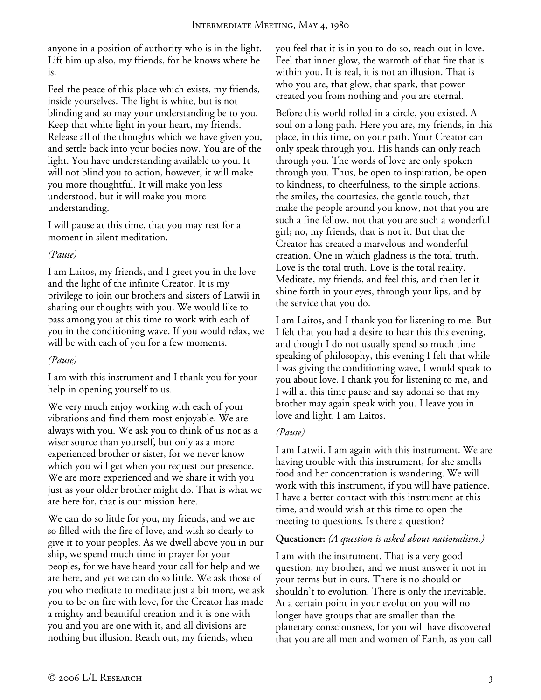anyone in a position of authority who is in the light. Lift him up also, my friends, for he knows where he is.

Feel the peace of this place which exists, my friends, inside yourselves. The light is white, but is not blinding and so may your understanding be to you. Keep that white light in your heart, my friends. Release all of the thoughts which we have given you, and settle back into your bodies now. You are of the light. You have understanding available to you. It will not blind you to action, however, it will make you more thoughtful. It will make you less understood, but it will make you more understanding.

I will pause at this time, that you may rest for a moment in silent meditation.

### *(Pause)*

I am Laitos, my friends, and I greet you in the love and the light of the infinite Creator. It is my privilege to join our brothers and sisters of Latwii in sharing our thoughts with you. We would like to pass among you at this time to work with each of you in the conditioning wave. If you would relax, we will be with each of you for a few moments.

#### *(Pause)*

I am with this instrument and I thank you for your help in opening yourself to us.

We very much enjoy working with each of your vibrations and find them most enjoyable. We are always with you. We ask you to think of us not as a wiser source than yourself, but only as a more experienced brother or sister, for we never know which you will get when you request our presence. We are more experienced and we share it with you just as your older brother might do. That is what we are here for, that is our mission here.

We can do so little for you, my friends, and we are so filled with the fire of love, and wish so dearly to give it to your peoples. As we dwell above you in our ship, we spend much time in prayer for your peoples, for we have heard your call for help and we are here, and yet we can do so little. We ask those of you who meditate to meditate just a bit more, we ask you to be on fire with love, for the Creator has made a mighty and beautiful creation and it is one with you and you are one with it, and all divisions are nothing but illusion. Reach out, my friends, when

you feel that it is in you to do so, reach out in love. Feel that inner glow, the warmth of that fire that is within you. It is real, it is not an illusion. That is who you are, that glow, that spark, that power created you from nothing and you are eternal.

Before this world rolled in a circle, you existed. A soul on a long path. Here you are, my friends, in this place, in this time, on your path. Your Creator can only speak through you. His hands can only reach through you. The words of love are only spoken through you. Thus, be open to inspiration, be open to kindness, to cheerfulness, to the simple actions, the smiles, the courtesies, the gentle touch, that make the people around you know, not that you are such a fine fellow, not that you are such a wonderful girl; no, my friends, that is not it. But that the Creator has created a marvelous and wonderful creation. One in which gladness is the total truth. Love is the total truth. Love is the total reality. Meditate, my friends, and feel this, and then let it shine forth in your eyes, through your lips, and by the service that you do.

I am Laitos, and I thank you for listening to me. But I felt that you had a desire to hear this this evening, and though I do not usually spend so much time speaking of philosophy, this evening I felt that while I was giving the conditioning wave, I would speak to you about love. I thank you for listening to me, and I will at this time pause and say adonai so that my brother may again speak with you. I leave you in love and light. I am Laitos.

## *(Pause)*

I am Latwii. I am again with this instrument. We are having trouble with this instrument, for she smells food and her concentration is wandering. We will work with this instrument, if you will have patience. I have a better contact with this instrument at this time, and would wish at this time to open the meeting to questions. Is there a question?

## **Questioner:** *(A question is asked about nationalism.)*

I am with the instrument. That is a very good question, my brother, and we must answer it not in your terms but in ours. There is no should or shouldn't to evolution. There is only the inevitable. At a certain point in your evolution you will no longer have groups that are smaller than the planetary consciousness, for you will have discovered that you are all men and women of Earth, as you call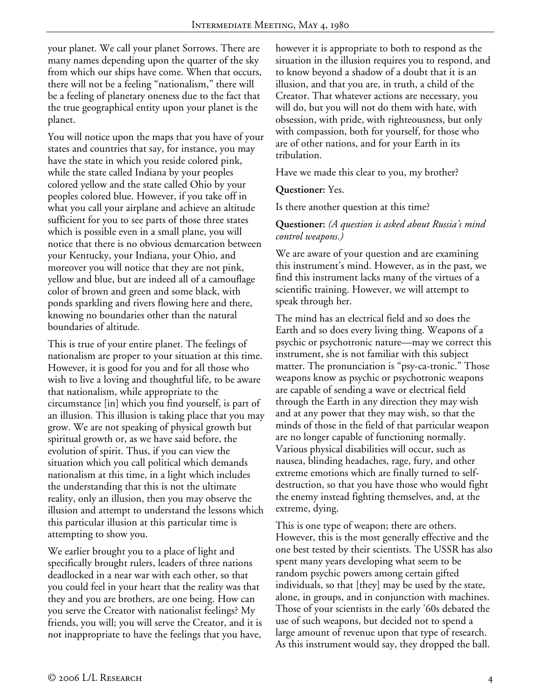your planet. We call your planet Sorrows. There are many names depending upon the quarter of the sky from which our ships have come. When that occurs, there will not be a feeling "nationalism," there will be a feeling of planetary oneness due to the fact that the true geographical entity upon your planet is the planet.

You will notice upon the maps that you have of your states and countries that say, for instance, you may have the state in which you reside colored pink, while the state called Indiana by your peoples colored yellow and the state called Ohio by your peoples colored blue. However, if you take off in what you call your airplane and achieve an altitude sufficient for you to see parts of those three states which is possible even in a small plane, you will notice that there is no obvious demarcation between your Kentucky, your Indiana, your Ohio, and moreover you will notice that they are not pink, yellow and blue, but are indeed all of a camouflage color of brown and green and some black, with ponds sparkling and rivers flowing here and there, knowing no boundaries other than the natural boundaries of altitude.

This is true of your entire planet. The feelings of nationalism are proper to your situation at this time. However, it is good for you and for all those who wish to live a loving and thoughtful life, to be aware that nationalism, while appropriate to the circumstance [in] which you find yourself, is part of an illusion. This illusion is taking place that you may grow. We are not speaking of physical growth but spiritual growth or, as we have said before, the evolution of spirit. Thus, if you can view the situation which you call political which demands nationalism at this time, in a light which includes the understanding that this is not the ultimate reality, only an illusion, then you may observe the illusion and attempt to understand the lessons which this particular illusion at this particular time is attempting to show you.

We earlier brought you to a place of light and specifically brought rulers, leaders of three nations deadlocked in a near war with each other, so that you could feel in your heart that the reality was that they and you are brothers, are one being. How can you serve the Creator with nationalist feelings? My friends, you will; you will serve the Creator, and it is not inappropriate to have the feelings that you have,

however it is appropriate to both to respond as the situation in the illusion requires you to respond, and to know beyond a shadow of a doubt that it is an illusion, and that you are, in truth, a child of the Creator. That whatever actions are necessary, you will do, but you will not do them with hate, with obsession, with pride, with righteousness, but only with compassion, both for yourself, for those who are of other nations, and for your Earth in its tribulation.

Have we made this clear to you, my brother?

**Questioner:** Yes.

Is there another question at this time?

#### **Questioner:** *(A question is asked about Russia's mind control weapons.)*

We are aware of your question and are examining this instrument's mind. However, as in the past, we find this instrument lacks many of the virtues of a scientific training. However, we will attempt to speak through her.

The mind has an electrical field and so does the Earth and so does every living thing. Weapons of a psychic or psychotronic nature—may we correct this instrument, she is not familiar with this subject matter. The pronunciation is "psy-ca-tronic." Those weapons know as psychic or psychotronic weapons are capable of sending a wave or electrical field through the Earth in any direction they may wish and at any power that they may wish, so that the minds of those in the field of that particular weapon are no longer capable of functioning normally. Various physical disabilities will occur, such as nausea, blinding headaches, rage, fury, and other extreme emotions which are finally turned to selfdestruction, so that you have those who would fight the enemy instead fighting themselves, and, at the extreme, dying.

This is one type of weapon; there are others. However, this is the most generally effective and the one best tested by their scientists. The USSR has also spent many years developing what seem to be random psychic powers among certain gifted individuals, so that [they] may be used by the state, alone, in groups, and in conjunction with machines. Those of your scientists in the early '60s debated the use of such weapons, but decided not to spend a large amount of revenue upon that type of research. As this instrument would say, they dropped the ball.